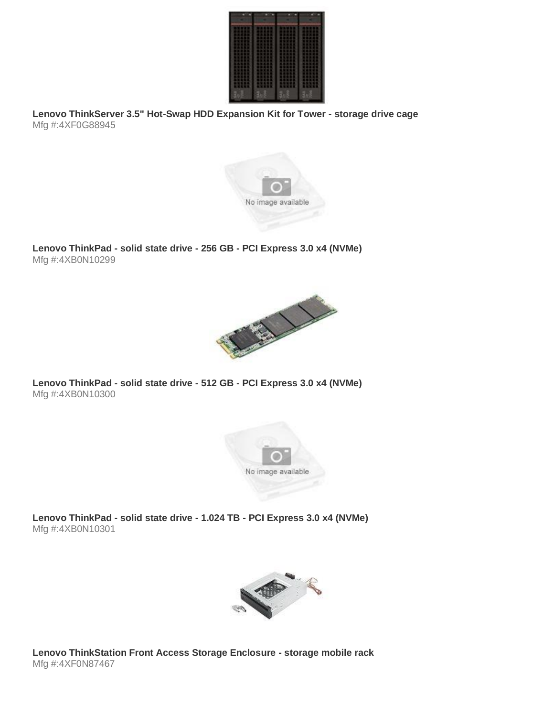

**Lenovo ThinkServer 3.5" Hot-Swap HDD Expansion Kit for Tower - storage drive cage** Mfg #:4XF0G88945



**Lenovo ThinkPad - solid state drive - 256 GB - PCI Express 3.0 x4 (NVMe)** Mfg #:4XB0N10299



**Lenovo ThinkPad - solid state drive - 512 GB - PCI Express 3.0 x4 (NVMe)** Mfg #:4XB0N10300



**Lenovo ThinkPad - solid state drive - 1.024 TB - PCI Express 3.0 x4 (NVMe)** Mfg #:4XB0N10301



**Lenovo ThinkStation Front Access Storage Enclosure - storage mobile rack** Mfg #:4XF0N87467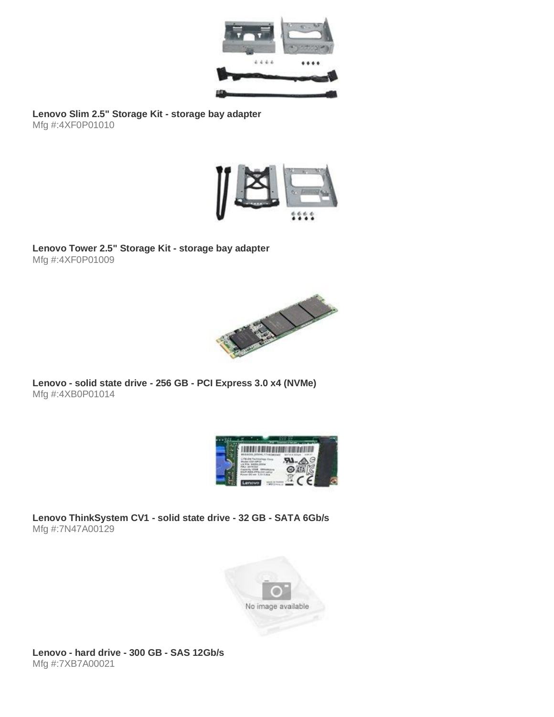

**Lenovo Slim 2.5" Storage Kit - storage bay adapter** Mfg #:4XF0P01010



**Lenovo Tower 2.5" Storage Kit - storage bay adapter** Mfg #:4XF0P01009



**Lenovo - solid state drive - 256 GB - PCI Express 3.0 x4 (NVMe)** Mfg #:4XB0P01014



**Lenovo ThinkSystem CV1 - solid state drive - 32 GB - SATA 6Gb/s** Mfg #:7N47A00129



**Lenovo - hard drive - 300 GB - SAS 12Gb/s** Mfg #:7XB7A00021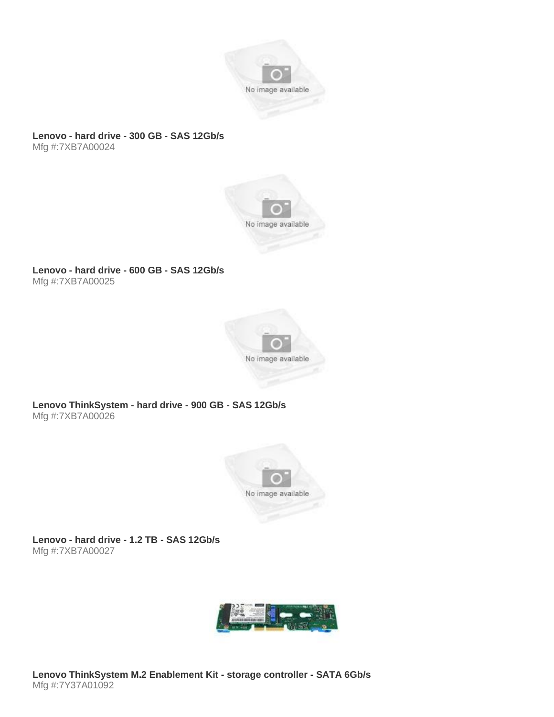

#### **Lenovo - hard drive - 300 GB - SAS 12Gb/s** Mfg #:7XB7A00024



### **Lenovo - hard drive - 600 GB - SAS 12Gb/s** Mfg #:7XB7A00025



# **Lenovo ThinkSystem - hard drive - 900 GB - SAS 12Gb/s** Mfg #:7XB7A00026



**Lenovo - hard drive - 1.2 TB - SAS 12Gb/s** Mfg #:7XB7A00027

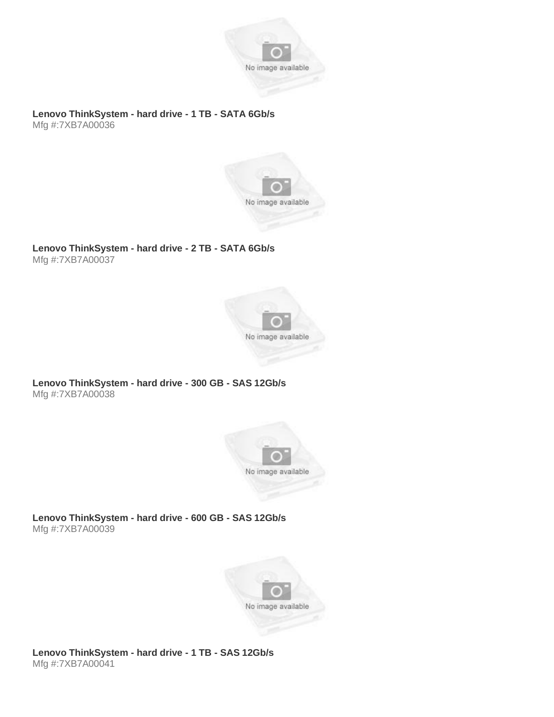

**Lenovo ThinkSystem - hard drive - 1 TB - SATA 6Gb/s** Mfg #:7XB7A00036



# **Lenovo ThinkSystem - hard drive - 2 TB - SATA 6Gb/s**

Mfg #:7XB7A00037



# **Lenovo ThinkSystem - hard drive - 300 GB - SAS 12Gb/s** Mfg #:7XB7A00038



**Lenovo ThinkSystem - hard drive - 600 GB - SAS 12Gb/s** Mfg #:7XB7A00039

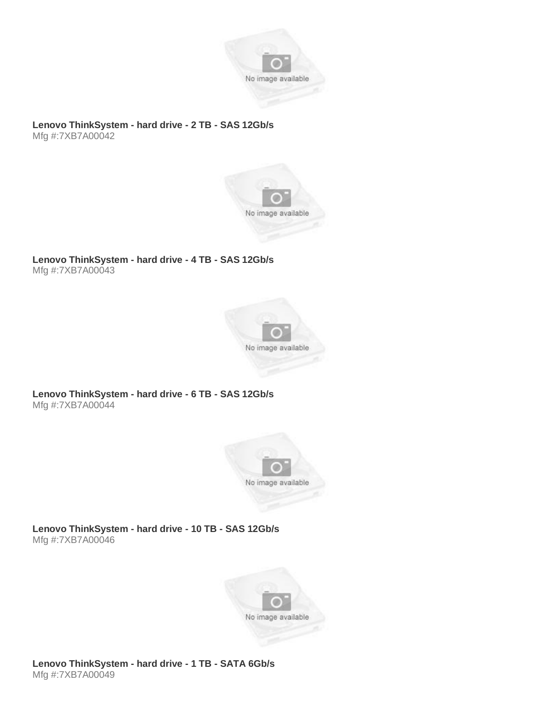

## **Lenovo ThinkSystem - hard drive - 2 TB - SAS 12Gb/s** Mfg #:7XB7A00042



# **Lenovo ThinkSystem - hard drive - 4 TB - SAS 12Gb/s** Mfg #:7XB7A00043



# **Lenovo ThinkSystem - hard drive - 6 TB - SAS 12Gb/s** Mfg #:7XB7A00044



**Lenovo ThinkSystem - hard drive - 10 TB - SAS 12Gb/s** Mfg #:7XB7A00046



# **Lenovo ThinkSystem - hard drive - 1 TB - SATA 6Gb/s** Mfg #:7XB7A00049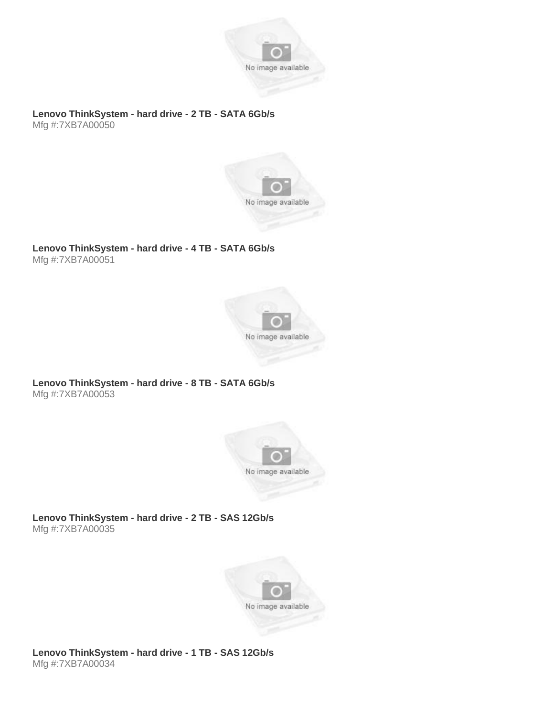

**Lenovo ThinkSystem - hard drive - 2 TB - SATA 6Gb/s** Mfg #:7XB7A00050



## **Lenovo ThinkSystem - hard drive - 4 TB - SATA 6Gb/s** Mfg #:7XB7A00051



## **Lenovo ThinkSystem - hard drive - 8 TB - SATA 6Gb/s** Mfg #:7XB7A00053



**Lenovo ThinkSystem - hard drive - 2 TB - SAS 12Gb/s** Mfg #:7XB7A00035

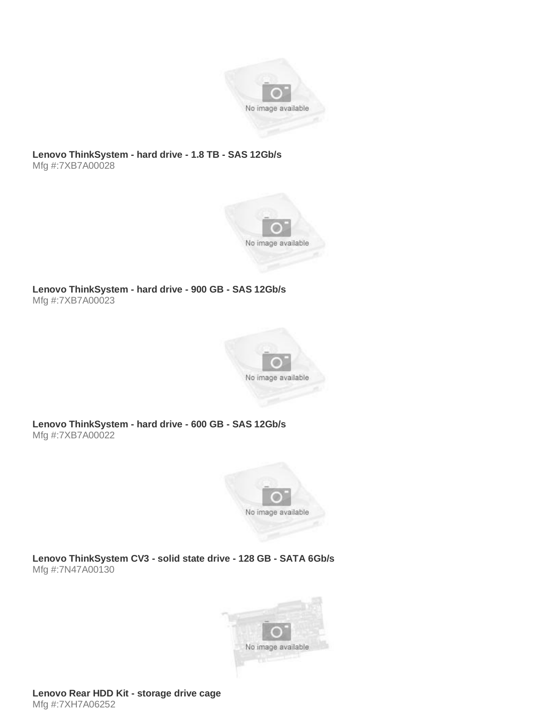

## **Lenovo ThinkSystem - hard drive - 1.8 TB - SAS 12Gb/s** Mfg #:7XB7A00028



**Lenovo ThinkSystem - hard drive - 900 GB - SAS 12Gb/s** Mfg #:7XB7A00023



**Lenovo ThinkSystem - hard drive - 600 GB - SAS 12Gb/s** Mfg #:7XB7A00022



**Lenovo ThinkSystem CV3 - solid state drive - 128 GB - SATA 6Gb/s** Mfg #:7N47A00130

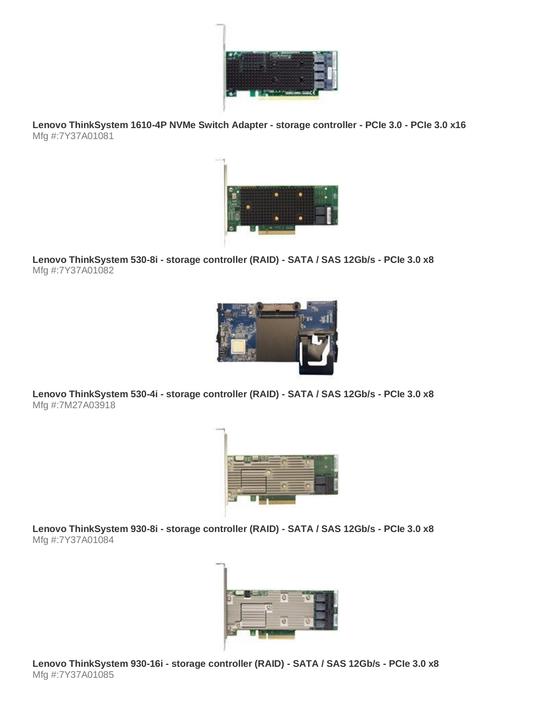

**Lenovo ThinkSystem 1610-4P NVMe Switch Adapter - storage controller - PCIe 3.0 - PCIe 3.0 x16** Mfg #:7Y37A01081



**Lenovo ThinkSystem 530-8i - storage controller (RAID) - SATA / SAS 12Gb/s - PCIe 3.0 x8** Mfg #:7Y37A01082



**Lenovo ThinkSystem 530-4i - storage controller (RAID) - SATA / SAS 12Gb/s - PCIe 3.0 x8** Mfg #:7M27A03918



**Lenovo ThinkSystem 930-8i - storage controller (RAID) - SATA / SAS 12Gb/s - PCIe 3.0 x8** Mfg #:7Y37A01084



**Lenovo ThinkSystem 930-16i - storage controller (RAID) - SATA / SAS 12Gb/s - PCIe 3.0 x8** Mfg #:7Y37A01085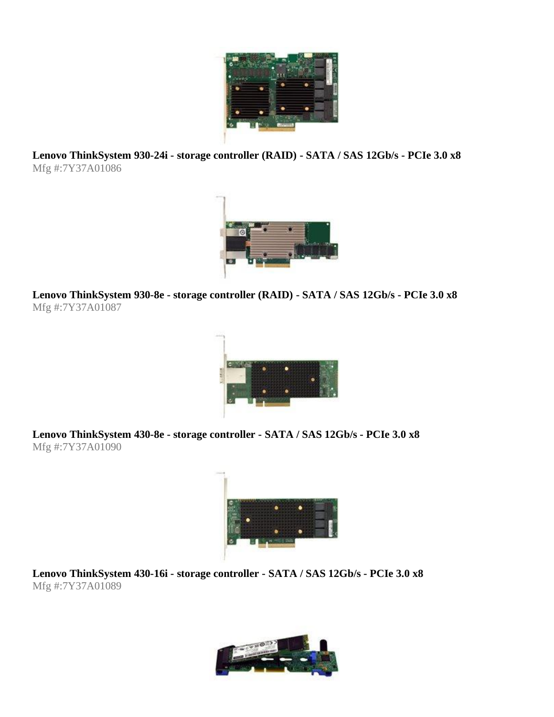

**Lenovo ThinkSystem 930-24i - storage controller (RAID) - SATA / SAS 12Gb/s - PCIe 3.0 x8** Mfg #:7Y37A01086



**Lenovo ThinkSystem 930-8e - storage controller (RAID) - SATA / SAS 12Gb/s - PCIe 3.0 x8** Mfg #:7Y37A01087



**Lenovo ThinkSystem 430-8e - storage controller - SATA / SAS 12Gb/s - PCIe 3.0 x8** Mfg #:7Y37A01090



**Lenovo ThinkSystem 430-16i - storage controller - SATA / SAS 12Gb/s - PCIe 3.0 x8** Mfg #:7Y37A01089